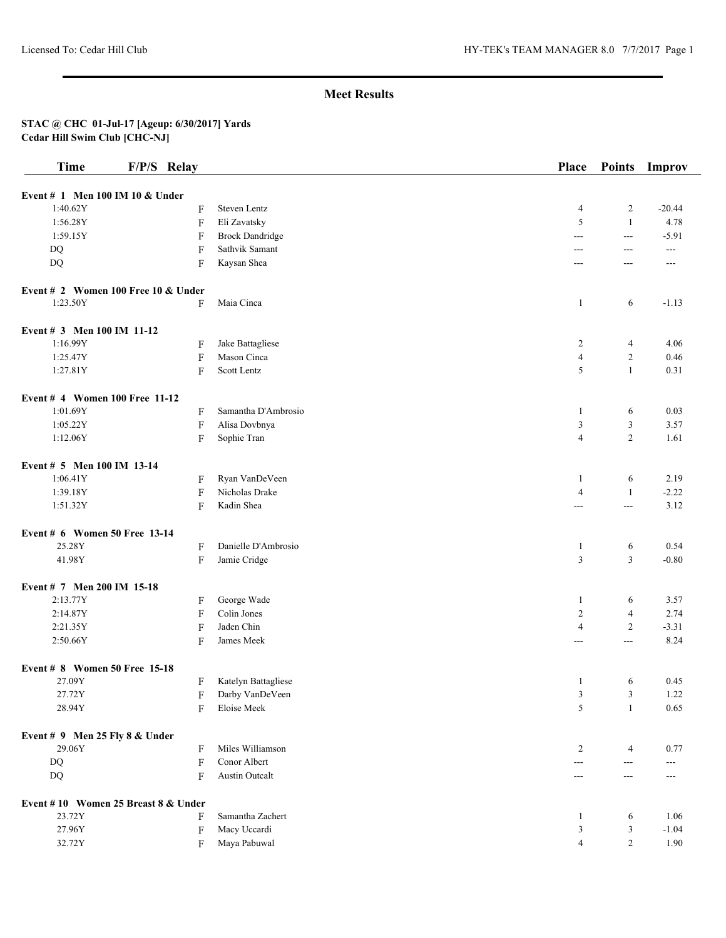| Event # 1 Men 100 IM 10 & Under<br>1:40.62Y<br>F<br>Steven Lentz | $\overline{4}$<br>5 | $\overline{c}$ |          |
|------------------------------------------------------------------|---------------------|----------------|----------|
|                                                                  |                     |                |          |
|                                                                  |                     |                | $-20.44$ |
| 1:56.28Y<br>F<br>Eli Zavatsky                                    |                     | $\mathbf{1}$   | 4.78     |
| 1:59.15Y<br>F<br><b>Brock Dandridge</b>                          | $ -$                | $---$          | $-5.91$  |
| $\boldsymbol{\mathrm{F}}$<br>Sathvik Samant<br>DQ                | $\overline{a}$      | $---$          | $- - -$  |
| DQ<br>F<br>Kaysan Shea                                           | ---                 | ---            | ---      |
| Event # 2 Women 100 Free 10 $&$ Under                            |                     |                |          |
| 1:23.50Y<br>Maia Cinca<br>F                                      | 1                   | 6              | $-1.13$  |
| Event # 3 Men 100 IM 11-12                                       |                     |                |          |
| 1:16.99Y<br>Jake Battagliese<br>F                                | $\overline{c}$      | 4              | 4.06     |
| 1:25.47Y<br>Mason Cinca<br>$\boldsymbol{\mathrm{F}}$             | $\overline{4}$      | $\overline{c}$ | 0.46     |
| Scott Lentz<br>1:27.81Y<br>F                                     | 5                   | $\mathbf{1}$   | 0.31     |
| Event # 4 Women 100 Free 11-12                                   |                     |                |          |
| 1:01.69Y<br>Samantha D'Ambrosio<br>F                             | 1                   | 6              | 0.03     |
| Alisa Dovbnya<br>1:05.22Y<br>F                                   | 3                   | 3              | 3.57     |
| 1:12.06Y<br>F<br>Sophie Tran                                     | $\overline{4}$      | $\overline{2}$ | 1.61     |
| Event # 5 Men 100 IM 13-14                                       |                     |                |          |
| 1:06.41Y<br>Ryan VanDeVeen<br>F                                  | -1                  | 6              | 2.19     |
| Nicholas Drake<br>1:39.18Y<br>$\boldsymbol{\mathrm{F}}$          | $\overline{4}$      | $\mathbf{1}$   | $-2.22$  |
| F<br>Kadin Shea<br>1:51.32Y                                      | $---$               | ---            | 3.12     |
| Event # 6 Women 50 Free 13-14                                    |                     |                |          |
| 25.28Y<br>Danielle D'Ambrosio<br>F                               | $\mathbf{1}$        | 6              | 0.54     |
| 41.98Y<br>F<br>Jamie Cridge                                      | 3                   | 3              | $-0.80$  |
| Event # 7 Men 200 IM 15-18                                       |                     |                |          |
| George Wade<br>2:13.77Y<br>F                                     | 1                   | 6              | 3.57     |
| 2:14.87Y<br>Colin Jones<br>F                                     | $\overline{c}$      | $\overline{4}$ | 2.74     |
| Jaden Chin<br>2:21.35Y<br>$\boldsymbol{\mathrm{F}}$              | $\overline{4}$      | $\overline{c}$ | $-3.31$  |
| 2:50.66Y<br>F<br>James Meek                                      | ---                 | ---            | 8.24     |
| Event # 8 Women 50 Free 15-18                                    |                     |                |          |
| 27.09Y<br>Katelyn Battagliese<br>F                               | 1                   | 6              | 0.45     |
| Darby VanDeVeen<br>27.72Y<br>F                                   | 3                   | 3              | 1.22     |
| 28.94Y<br>Eloise Meek<br>F                                       | 5                   | $\mathbf{1}$   | 0.65     |
| Event # 9 Men 25 Fly 8 $&$ Under                                 |                     |                |          |
| Miles Williamson<br>29.06Y<br>F                                  | 2                   | 4              | 0.77     |
| Conor Albert<br>$\mathbf{D}\mathbf{Q}$<br>F                      | $\sim$ $\sim$       | ---            | ---      |
| DQ<br>F<br><b>Austin Outcalt</b>                                 | $\qquad \qquad -$   | $---$          | ---      |
| Event #10 Women 25 Breast 8 & Under                              |                     |                |          |
| 23.72Y<br>Samantha Zachert<br>F                                  | $\mathbf{1}$        | 6              | 1.06     |
| Macy Uccardi<br>27.96Y<br>F                                      | 3                   | 3              | $-1.04$  |
| 32.72Y<br>Maya Pabuwal<br>F                                      | $\overline{4}$      | $\overline{c}$ | 1.90     |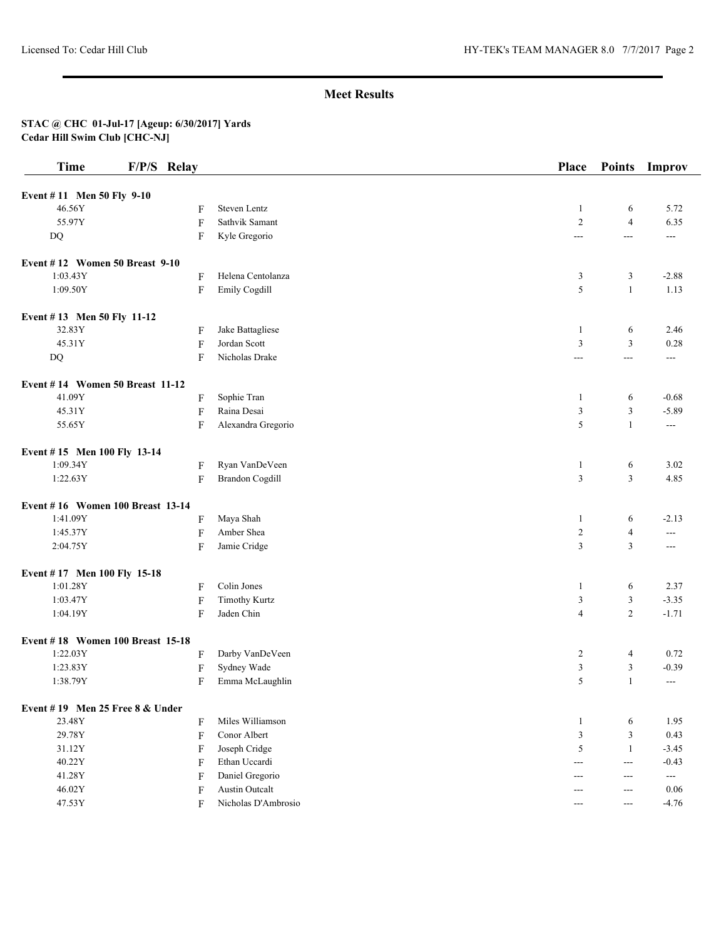| <b>Time</b>                       | F/P/S Relay               |                        | Place                 | <b>Points</b>         | Improv            |
|-----------------------------------|---------------------------|------------------------|-----------------------|-----------------------|-------------------|
| Event #11 Men 50 Fly 9-10         |                           |                        |                       |                       |                   |
| 46.56Y                            | F                         | Steven Lentz           | 1                     | 6                     | 5.72              |
| 55.97Y                            | $\boldsymbol{\mathrm{F}}$ | Sathvik Samant         | $\overline{2}$        | $\overline{4}$        | 6.35              |
| $\mathbf{D}\mathbf{Q}$            | F                         | Kyle Gregorio          | ---                   | $\overline{a}$        | $--$              |
| Event #12 Women 50 Breast 9-10    |                           |                        |                       |                       |                   |
| 1:03.43Y                          | F                         | Helena Centolanza      | 3                     | 3                     | $-2.88$           |
| 1:09.50Y                          | F                         | Emily Cogdill          | 5                     | $\mathbf{1}$          | 1.13              |
| Event #13 Men 50 Fly 11-12        |                           |                        |                       |                       |                   |
| 32.83Y                            | F                         | Jake Battagliese       | 1                     | 6                     | 2.46              |
| 45.31Y                            | $\boldsymbol{\mathrm{F}}$ | Jordan Scott           | 3                     | $\mathfrak{Z}$        | 0.28              |
| $\mathbf{D}\mathbf{Q}$            | F                         | Nicholas Drake         | ---                   | $--$                  | $\qquad \qquad -$ |
| Event #14 Women 50 Breast 11-12   |                           |                        |                       |                       |                   |
| 41.09Y                            | F                         | Sophie Tran            | 1                     | 6                     | $-0.68$           |
| 45.31Y                            | F                         | Raina Desai            | $\mathfrak{Z}$        | $\mathfrak z$         | $-5.89$           |
| 55.65Y                            | F                         | Alexandra Gregorio     | 5                     | $\mathbf{1}$          | $\sim$ $\sim$     |
| Event #15 Men 100 Fly 13-14       |                           |                        |                       |                       |                   |
| 1:09.34Y                          | F                         | Ryan VanDeVeen         | 1                     | 6                     | 3.02              |
| 1:22.63Y                          | F                         | <b>Brandon Cogdill</b> | $\mathfrak{Z}$        | $\mathfrak{Z}$        | 4.85              |
| Event #16 Women 100 Breast 13-14  |                           |                        |                       |                       |                   |
| 1:41.09Y                          | F                         | Maya Shah              | $\mathbf{1}$          | 6                     | $-2.13$           |
| 1:45.37Y                          | $\rm F$                   | Amber Shea             | $\sqrt{2}$            | $\overline{4}$        | $---$             |
| 2:04.75Y                          | F                         | Jamie Cridge           | $\mathfrak{Z}$        | $\mathfrak{Z}$        | $---$             |
| Event #17 Men 100 Fly 15-18       |                           |                        |                       |                       |                   |
| 1:01.28Y                          | F                         | Colin Jones            | 1                     | 6                     | 2.37              |
| 1:03.47Y                          | $\rm F$                   | <b>Timothy Kurtz</b>   | 3                     | 3                     | $-3.35$           |
| 1:04.19Y                          | F                         | Jaden Chin             | $\overline{4}$        | $\overline{c}$        | $-1.71$           |
| Event #18 Women 100 Breast 15-18  |                           |                        |                       |                       |                   |
| 1:22.03Y                          | F                         | Darby VanDeVeen        | $\overline{2}$        | 4                     | 0.72              |
| 1:23.83Y                          | $\boldsymbol{\mathrm{F}}$ | Sydney Wade            | $\mathfrak{Z}$        | 3                     | $-0.39$           |
| 1:38.79Y                          | F                         | Emma McLaughlin        | 5                     | $\mathbf{1}$          | $\sim$ $\sim$     |
| Event #19 Men 25 Free $8 &$ Under |                           |                        |                       |                       |                   |
| 23.48Y                            | F                         | Miles Williamson       | $\mathbf{1}$          | 6                     | 1.95              |
| 29.78Y                            | F                         | Conor Albert           | $\mathfrak{Z}$        | $\mathfrak{Z}$        | 0.43              |
| 31.12Y                            | F                         | Joseph Cridge          | 5                     | $\mathbf{1}$          | $-3.45$           |
| 40.22Y                            | F                         | Ethan Uccardi          | $---$                 | $--$                  | $-0.43$           |
| 41.28Y                            | F                         | Daniel Gregorio        | $---$                 | $---$                 | ---               |
| 46.02Y                            | F                         | Austin Outcalt         | $---$                 | $---$                 | 0.06              |
| 47.53Y                            | F                         | Nicholas D'Ambrosio    | $\scriptstyle \cdots$ | $\scriptstyle \cdots$ | $-4.76$           |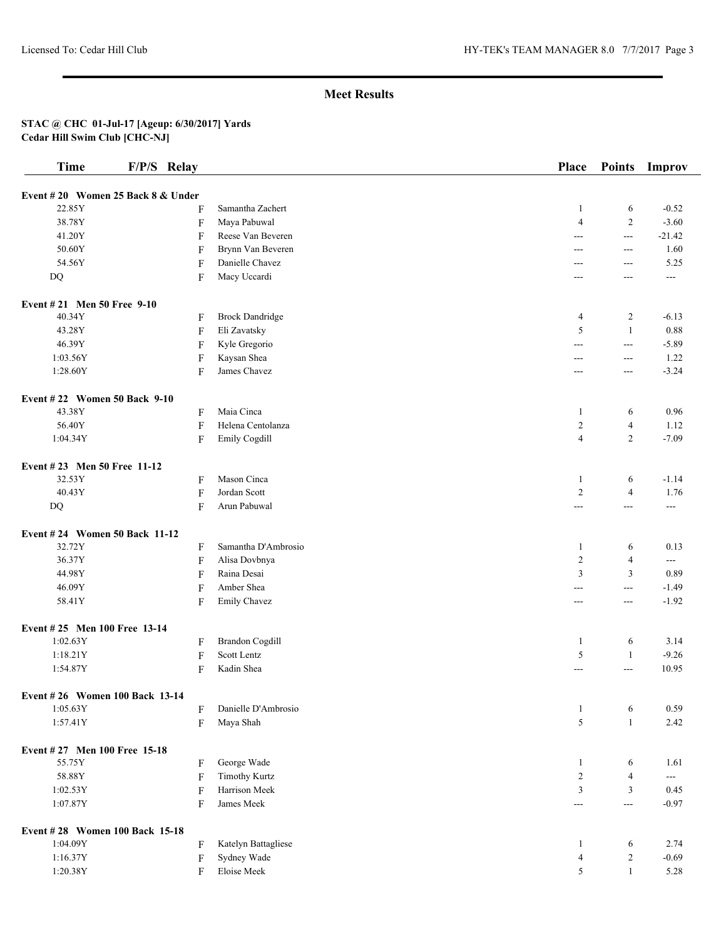| <b>Time</b>                       | F/P/S Relay |                        | Place             | <b>Points</b>  | Improv   |
|-----------------------------------|-------------|------------------------|-------------------|----------------|----------|
| Event #20 Women 25 Back 8 & Under |             |                        |                   |                |          |
| 22.85Y                            | F           | Samantha Zachert       | -1                | 6              | $-0.52$  |
| 38.78Y                            | F           | Maya Pabuwal           | $\overline{4}$    | $\overline{c}$ | $-3.60$  |
| 41.20Y                            | F           | Reese Van Beveren      | ---               | $\sim$ $\sim$  | $-21.42$ |
| 50.60Y                            | F           | Brynn Van Beveren      | ---               | $\sim$ $\sim$  | 1.60     |
| 54.56Y                            | F           | Danielle Chavez        | ---               | $\overline{a}$ | 5.25     |
| DQ                                | F           | Macy Uccardi           | ---               | ---            | ---      |
|                                   |             |                        |                   |                |          |
| Event #21 Men 50 Free 9-10        |             |                        |                   |                |          |
| 40.34Y                            | F           | <b>Brock Dandridge</b> | $\overline{4}$    | $\overline{c}$ | $-6.13$  |
| 43.28Y                            | F           | Eli Zavatsky           | 5                 | $\mathbf{1}$   | 0.88     |
| 46.39Y                            | F           | Kyle Gregorio          | ---               | $\overline{a}$ | $-5.89$  |
| 1:03.56Y                          | F           | Kaysan Shea            | $---$             | $\sim$ $\sim$  | 1.22     |
| 1:28.60Y                          | F           | James Chavez           | $---$             | $\overline{a}$ | $-3.24$  |
| Event #22 Women 50 Back 9-10      |             |                        |                   |                |          |
| 43.38Y                            | F           | Maia Cinca             | -1                | 6              | 0.96     |
| 56.40Y                            | F           | Helena Centolanza      | $\overline{2}$    | $\overline{4}$ | 1.12     |
| 1:04.34Y                          | F           | Emily Cogdill          | $\overline{4}$    | $\overline{c}$ | $-7.09$  |
| Event #23 Men 50 Free 11-12       |             |                        |                   |                |          |
| 32.53Y                            | F           | Mason Cinca            | -1                | 6              | $-1.14$  |
| 40.43Y                            | F           | Jordan Scott           | $\overline{2}$    | $\overline{4}$ | 1.76     |
| DQ                                | F           | Arun Pabuwal           | ---               | $\overline{a}$ | ---      |
|                                   |             |                        |                   |                |          |
| Event #24 Women 50 Back 11-12     |             |                        |                   |                |          |
| 32.72Y                            | F           | Samantha D'Ambrosio    | -1                | 6              | 0.13     |
| 36.37Y                            | F           | Alisa Dovbnya          | $\overline{2}$    | $\overline{4}$ | $--$     |
| 44.98Y                            | F           | Raina Desai            | 3                 | 3              | 0.89     |
| 46.09Y                            | F           | Amber Shea             | ---               | $\sim$ $\sim$  | $-1.49$  |
| 58.41Y                            | F           | Emily Chavez           | ---               | $---$          | $-1.92$  |
| Event #25 Men 100 Free 13-14      |             |                        |                   |                |          |
| 1:02.63Y                          | F           | <b>Brandon Cogdill</b> | -1                | 6              | 3.14     |
| 1:18.21Y                          | F           | Scott Lentz            | 5                 | 1              | $-9.26$  |
| 1:54.87Y                          | F           | Kadin Shea             | ---               | $---$          | 10.95    |
| Event #26 Women 100 Back 13-14    |             |                        |                   |                |          |
| 1:05.63Y                          | F           | Danielle D'Ambrosio    | $\mathbf{1}$      | 6              | 0.59     |
| 1:57.41Y                          | F           | Maya Shah              | 5                 | $\mathbf{1}$   | 2.42     |
| Event #27 Men 100 Free 15-18      |             |                        |                   |                |          |
| 55.75Y                            | F           | George Wade            | -1                | 6              | 1.61     |
| 58.88Y                            | F           | <b>Timothy Kurtz</b>   | $\boldsymbol{2}$  | $\overline{4}$ | $--$     |
| 1:02.53Y                          | F           | Harrison Meek          | $\overline{3}$    | 3              | 0.45     |
| 1:07.87Y                          | F           | James Meek             | $\qquad \qquad -$ | $\sim$ $\sim$  | $-0.97$  |
|                                   |             |                        |                   |                |          |
| Event #28 Women 100 Back 15-18    |             |                        |                   |                |          |
| 1:04.09Y                          | F           | Katelyn Battagliese    | $\mathbf{1}$      | 6              | 2.74     |
| 1:16.37Y                          | F           | Sydney Wade            | $\overline{4}$    | $\overline{c}$ | $-0.69$  |
| 1:20.38Y                          | F           | Eloise Meek            | 5                 | 1              | 5.28     |